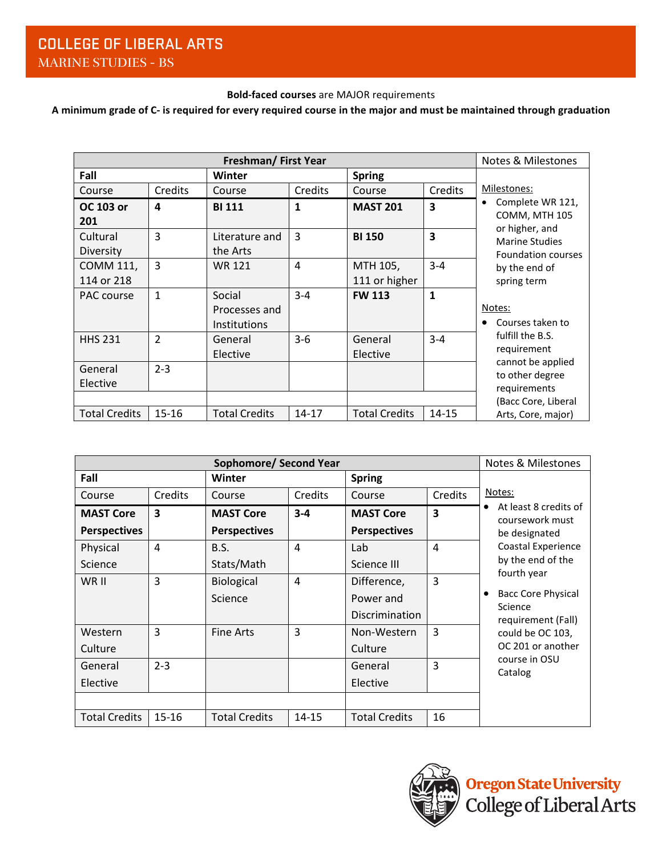## **Bold-faced courses** are MAJOR requirements

A minimum grade of C- is required for every required course in the major and must be maintained through graduation

|                      | <b>Notes &amp; Milestones</b> |                      |                |                      |                         |                                      |
|----------------------|-------------------------------|----------------------|----------------|----------------------|-------------------------|--------------------------------------|
| Fall                 |                               | <b>Winter</b>        |                | <b>Spring</b>        |                         |                                      |
| Course               | Credits                       | Course               | Credits        | Course               | Credits                 | Milestones:                          |
| OC 103 or            | 4                             | <b>BI 111</b>        | $\mathbf{1}$   | <b>MAST 201</b>      | 3                       | Complete WR 121,<br>COMM, MTH 105    |
| 201                  |                               |                      |                |                      |                         | or higher, and                       |
| Cultural             | 3                             | Literature and       | $\overline{3}$ | <b>BI 150</b>        | $\overline{\mathbf{3}}$ | <b>Marine Studies</b>                |
| Diversity            |                               | the Arts             |                |                      |                         | <b>Foundation courses</b>            |
| COMM 111,            | 3                             | <b>WR 121</b>        | 4              | MTH 105,             | $3 - 4$                 | by the end of                        |
| 114 or 218           |                               |                      |                | 111 or higher        |                         | spring term                          |
| PAC course           | $\mathbf{1}$                  | Social               | $3 - 4$        | <b>FW 113</b>        | 1                       |                                      |
|                      |                               | Processes and        |                |                      |                         | Notes:                               |
|                      |                               | <b>Institutions</b>  |                |                      |                         | Courses taken to                     |
| <b>HHS 231</b>       | $\overline{2}$                | General              | $3-6$          | General              | $3 - 4$                 | fulfill the B.S.                     |
|                      |                               | Elective             |                | Elective             |                         | requirement                          |
| General              | $2 - 3$                       |                      |                |                      |                         | cannot be applied<br>to other degree |
| Elective             |                               |                      |                |                      |                         | requirements                         |
|                      |                               |                      |                |                      |                         | (Bacc Core, Liberal                  |
| <b>Total Credits</b> | $15 - 16$                     | <b>Total Credits</b> | $14 - 17$      | <b>Total Credits</b> | 14-15                   | Arts, Core, major)                   |

|                      | <b>Notes &amp; Milestones</b> |                      |                |                      |                |                                           |
|----------------------|-------------------------------|----------------------|----------------|----------------------|----------------|-------------------------------------------|
| Fall                 |                               | <b>Winter</b>        | <b>Spring</b>  |                      |                |                                           |
| Course               | Credits                       | Course               | Credits        | Course               | Credits        | Notes:                                    |
| <b>MAST Core</b>     | 3                             | <b>MAST Core</b>     | $3 - 4$        | <b>MAST Core</b>     | 3              | At least 8 credits of<br>coursework must  |
| <b>Perspectives</b>  |                               | <b>Perspectives</b>  |                | <b>Perspectives</b>  |                | be designated                             |
| Physical             | 4                             | B.S.                 | $\overline{4}$ | Lab                  | $\overline{4}$ | Coastal Experience                        |
| Science              |                               | Stats/Math           |                | Science III          |                | by the end of the                         |
| WR II                | 3                             | Biological           | $\overline{4}$ | Difference,          | 3              | fourth year                               |
|                      |                               | Science              |                | Power and            |                | <b>Bacc Core Physical</b><br>٠<br>Science |
|                      |                               |                      |                | Discrimination       |                | requirement (Fall)                        |
| Western              | 3                             | <b>Fine Arts</b>     | 3              | Non-Western          | 3              | could be OC 103,                          |
| Culture              |                               |                      |                | Culture              |                | OC 201 or another                         |
| General              | $2 - 3$                       |                      |                | General              | 3              | course in OSU<br>Catalog                  |
| Elective             |                               |                      |                | Elective             |                |                                           |
|                      |                               |                      |                |                      |                |                                           |
| <b>Total Credits</b> | $15 - 16$                     | <b>Total Credits</b> | $14 - 15$      | <b>Total Credits</b> | 16             |                                           |

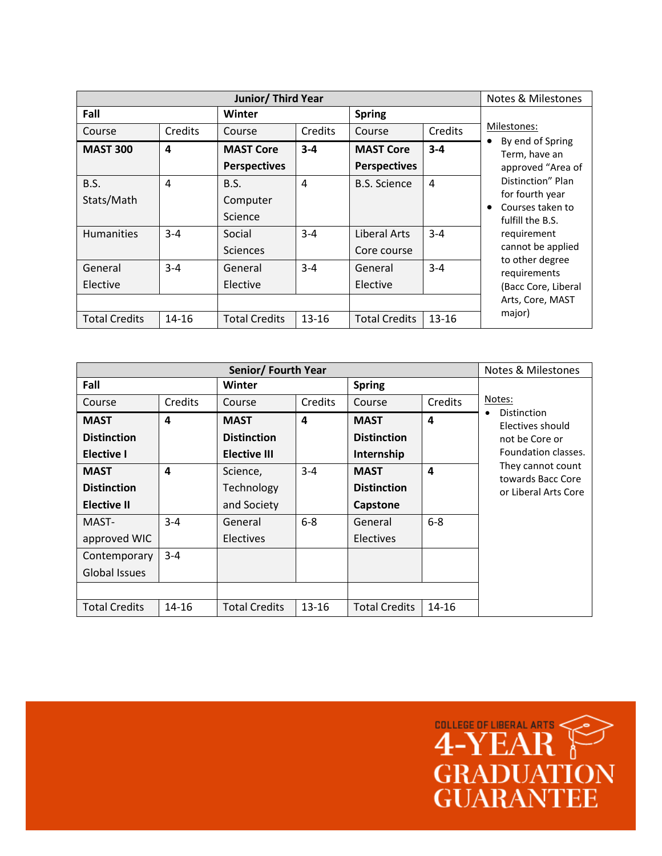|                           | <b>Notes &amp; Milestones</b> |                                         |           |                                         |         |                                                                                                                                                                                                               |
|---------------------------|-------------------------------|-----------------------------------------|-----------|-----------------------------------------|---------|---------------------------------------------------------------------------------------------------------------------------------------------------------------------------------------------------------------|
| Fall                      |                               | Winter                                  |           | <b>Spring</b>                           |         |                                                                                                                                                                                                               |
| Course                    | Credits                       | Course                                  | Credits   | Course                                  | Credits | Milestones:                                                                                                                                                                                                   |
| <b>MAST 300</b>           | 4                             | <b>MAST Core</b><br><b>Perspectives</b> | $3 - 4$   | <b>MAST Core</b><br><b>Perspectives</b> | $3 - 4$ | By end of Spring<br>Term, have an<br>approved "Area of<br>Distinction" Plan<br>for fourth year<br>Courses taken to<br>fulfill the B.S.<br>requirement<br>cannot be applied<br>to other degree<br>requirements |
| <b>B.S.</b><br>Stats/Math | 4                             | B.S.<br>Computer<br>Science             | 4         | <b>B.S. Science</b>                     | 4       |                                                                                                                                                                                                               |
| <b>Humanities</b>         | $3 - 4$                       | Social<br><b>Sciences</b>               | $3 - 4$   | Liberal Arts<br>Core course             | $3 - 4$ |                                                                                                                                                                                                               |
| General<br>Elective       | $3 - 4$                       | General<br>Elective                     | $3 - 4$   | General<br>Elective                     | $3 - 4$ |                                                                                                                                                                                                               |
|                           |                               |                                         |           |                                         |         | (Bacc Core, Liberal<br>Arts, Core, MAST<br>major)                                                                                                                                                             |
| <b>Total Credits</b>      | $14 - 16$                     | <b>Total Credits</b>                    | $13 - 16$ | <b>Total Credits</b>                    | 13-16   |                                                                                                                                                                                                               |

|                      | <b>Notes &amp; Milestones</b> |                      |           |                      |           |                                        |
|----------------------|-------------------------------|----------------------|-----------|----------------------|-----------|----------------------------------------|
| Fall                 |                               | <b>Winter</b>        |           | <b>Spring</b>        |           |                                        |
| Course               | Credits                       | Course               | Credits   | Course               | Credits   | Notes:                                 |
| <b>MAST</b>          | 4                             | <b>MAST</b>          | 4         | <b>MAST</b>          | 4         | Distinction<br>Electives should        |
| <b>Distinction</b>   |                               | <b>Distinction</b>   |           | <b>Distinction</b>   |           | not be Core or                         |
| <b>Elective I</b>    |                               | Elective III         |           | Internship           |           | Foundation classes.                    |
| <b>MAST</b>          | 4                             | Science,             | $3 - 4$   | <b>MAST</b>          | 4         | They cannot count<br>towards Bacc Core |
| <b>Distinction</b>   |                               | Technology           |           | <b>Distinction</b>   |           | or Liberal Arts Core                   |
| <b>Elective II</b>   |                               | and Society          |           | Capstone             |           |                                        |
| MAST-                | $3 - 4$                       | General              | $6-8$     | General              | $6-8$     |                                        |
| approved WIC         |                               | <b>Electives</b>     |           | <b>Electives</b>     |           |                                        |
| Contemporary         | $3 - 4$                       |                      |           |                      |           |                                        |
| Global Issues        |                               |                      |           |                      |           |                                        |
|                      |                               |                      |           |                      |           |                                        |
| <b>Total Credits</b> | 14-16                         | <b>Total Credits</b> | $13 - 16$ | <b>Total Credits</b> | $14 - 16$ |                                        |

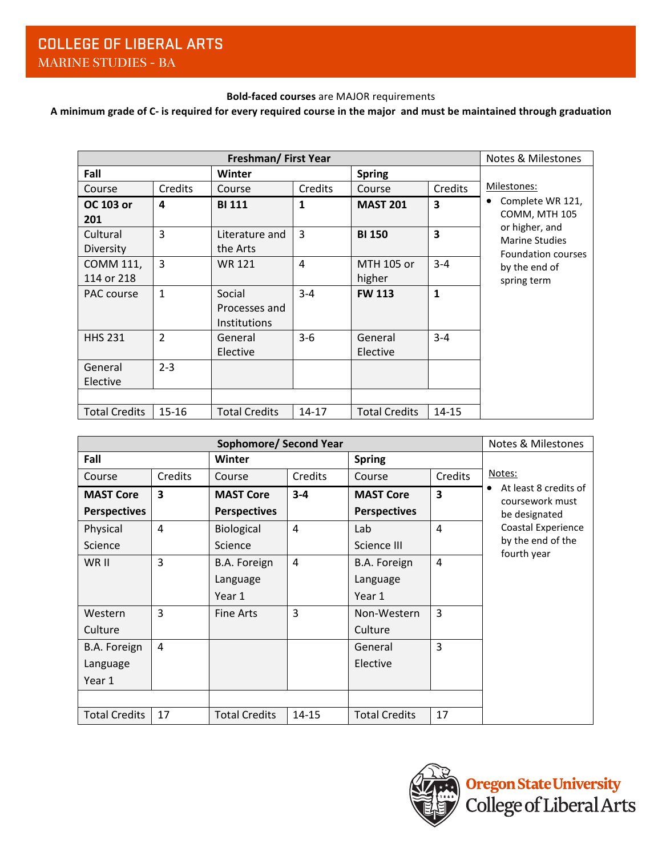## **Bold-faced courses** are MAJOR requirements

## A minimum grade of C- is required for every required course in the major and must be maintained through graduation

|                      | <b>Notes &amp; Milestones</b> |                      |                |                      |                         |                                         |
|----------------------|-------------------------------|----------------------|----------------|----------------------|-------------------------|-----------------------------------------|
| Fall                 |                               | Winter               |                | <b>Spring</b>        |                         |                                         |
| Course               | Credits                       | Course               | Credits        | Course               | Credits                 | Milestones:                             |
| OC 103 or            | 4                             | <b>BI 111</b>        | 1              | <b>MAST 201</b>      | 3                       | Complete WR 121,                        |
| 201                  |                               |                      |                |                      |                         | COMM, MTH 105                           |
| Cultural             | 3                             | Literature and       | $\overline{3}$ | <b>BI 150</b>        | $\overline{\mathbf{3}}$ | or higher, and<br><b>Marine Studies</b> |
| Diversity            |                               | the Arts             |                |                      |                         | <b>Foundation courses</b>               |
| COMM 111,            | 3                             | <b>WR 121</b>        | $\overline{a}$ | MTH 105 or           | $3 - 4$                 | by the end of                           |
| 114 or 218           |                               |                      |                | higher               |                         | spring term                             |
| PAC course           | 1                             | Social               | $3 - 4$        | <b>FW 113</b>        | $\mathbf{1}$            |                                         |
|                      |                               | Processes and        |                |                      |                         |                                         |
|                      |                               | <b>Institutions</b>  |                |                      |                         |                                         |
| <b>HHS 231</b>       | $\overline{2}$                | General              | $3-6$          | General              | $3 - 4$                 |                                         |
|                      |                               | Elective             |                | Elective             |                         |                                         |
| General              | $2 - 3$                       |                      |                |                      |                         |                                         |
| Elective             |                               |                      |                |                      |                         |                                         |
|                      |                               |                      |                |                      |                         |                                         |
| <b>Total Credits</b> | $15 - 16$                     | <b>Total Credits</b> | $14 - 17$      | <b>Total Credits</b> | $14 - 15$               |                                         |

| <b>Sophomore/ Second Year</b> |                         |                      |                |                      |                         | <b>Notes &amp; Milestones</b>            |
|-------------------------------|-------------------------|----------------------|----------------|----------------------|-------------------------|------------------------------------------|
| Fall                          |                         | Winter               |                | <b>Spring</b>        |                         |                                          |
| Course                        | Credits                 | Course               | Credits        | Course               | Credits                 | Notes:                                   |
| <b>MAST Core</b>              | $\overline{\mathbf{3}}$ | <b>MAST Core</b>     | $3 - 4$        | <b>MAST Core</b>     | $\overline{\mathbf{3}}$ | At least 8 credits of<br>coursework must |
| <b>Perspectives</b>           |                         | <b>Perspectives</b>  |                | <b>Perspectives</b>  |                         | be designated                            |
| Physical                      | 4                       | <b>Biological</b>    | $\overline{4}$ | Lab                  | 4                       | Coastal Experience                       |
| Science                       |                         | Science              |                | Science III          |                         | by the end of the<br>fourth year         |
| WR II                         | 3                       | B.A. Foreign         | $\overline{4}$ | B.A. Foreign         | $\overline{4}$          |                                          |
|                               |                         | Language             |                | Language             |                         |                                          |
|                               |                         | Year 1               |                | Year 1               |                         |                                          |
| Western                       | 3                       | <b>Fine Arts</b>     | 3              | Non-Western          | 3                       |                                          |
| Culture                       |                         |                      |                | Culture              |                         |                                          |
| B.A. Foreign                  | 4                       |                      |                | General              | 3                       |                                          |
| Language                      |                         |                      |                | Elective             |                         |                                          |
| Year 1                        |                         |                      |                |                      |                         |                                          |
|                               |                         |                      |                |                      |                         |                                          |
| <b>Total Credits</b>          | 17                      | <b>Total Credits</b> | $14 - 15$      | <b>Total Credits</b> | 17                      |                                          |